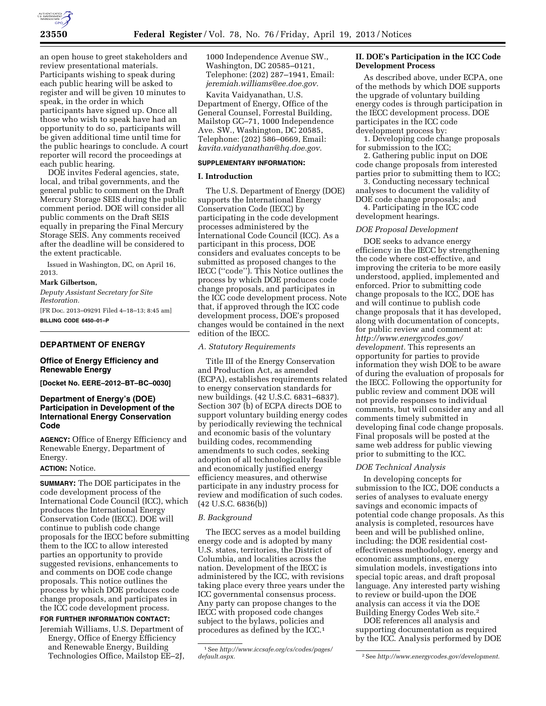

an open house to greet stakeholders and review presentational materials. Participants wishing to speak during each public hearing will be asked to register and will be given 10 minutes to speak, in the order in which participants have signed up. Once all those who wish to speak have had an opportunity to do so, participants will be given additional time until time for the public hearings to conclude. A court reporter will record the proceedings at each public hearing.

DOE invites Federal agencies, state, local, and tribal governments, and the general public to comment on the Draft Mercury Storage SEIS during the public comment period. DOE will consider all public comments on the Draft SEIS equally in preparing the Final Mercury Storage SEIS. Any comments received after the deadline will be considered to the extent practicable.

Issued in Washington, DC, on April 16, 2013.

#### **Mark Gilbertson,**

*Deputy Assistant Secretary for Site Restoration.* 

[FR Doc. 2013–09291 Filed 4–18–13; 8:45 am] **BILLING CODE 6450–01–P** 

#### **DEPARTMENT OF ENERGY**

# **Office of Energy Efficiency and Renewable Energy**

**[Docket No. EERE–2012–BT–BC–0030]** 

# **Department of Energy's (DOE) Participation in Development of the International Energy Conservation Code**

**AGENCY:** Office of Energy Efficiency and Renewable Energy, Department of Energy.

## **ACTION:** Notice.

**SUMMARY:** The DOE participates in the code development process of the International Code Council (ICC), which produces the International Energy Conservation Code (IECC). DOE will continue to publish code change proposals for the IECC before submitting them to the ICC to allow interested parties an opportunity to provide suggested revisions, enhancements to and comments on DOE code change proposals. This notice outlines the process by which DOE produces code change proposals, and participates in the ICC code development process. **FOR FURTHER INFORMATION CONTACT:** 

Jeremiah Williams, U.S. Department of Energy, Office of Energy Efficiency and Renewable Energy, Building Technologies Office, Mailstop EE–2J,

1000 Independence Avenue SW., Washington, DC 20585–0121, Telephone: (202) 287–1941, Email: *[jeremiah.williams@ee.doe.gov.](mailto:jeremiah.williams@ee.doe.gov)* 

Kavita Vaidyanathan, U.S. Department of Energy, Office of the General Counsel, Forrestal Building, Mailstop GC–71, 1000 Independence Ave. SW., Washington, DC 20585, Telephone: (202) 586–0669, Email: *[kavita.vaidyanathan@hq.doe.gov.](mailto:kavita.vaidyanathan@hq.doe.gov)* 

#### **SUPPLEMENTARY INFORMATION:**

# **I. Introduction**

The U.S. Department of Energy (DOE) supports the International Energy Conservation Code (IECC) by participating in the code development processes administered by the International Code Council (ICC). As a participant in this process, DOE considers and evaluates concepts to be submitted as proposed changes to the IECC (''code''). This Notice outlines the process by which DOE produces code change proposals, and participates in the ICC code development process. Note that, if approved through the ICC code development process, DOE's proposed changes would be contained in the next edition of the IECC.

## *A. Statutory Requirements*

Title III of the Energy Conservation and Production Act, as amended (ECPA), establishes requirements related to energy conservation standards for new buildings. (42 U.S.C. 6831–6837). Section 307 (b) of ECPA directs DOE to support voluntary building energy codes by periodically reviewing the technical and economic basis of the voluntary building codes, recommending amendments to such codes, seeking adoption of all technologically feasible and economically justified energy efficiency measures, and otherwise participate in any industry process for review and modification of such codes. (42 U.S.C. 6836(b))

## *B. Background*

The IECC serves as a model building energy code and is adopted by many U.S. states, territories, the District of Columbia, and localities across the nation. Development of the IECC is administered by the ICC, with revisions taking place every three years under the ICC governmental consensus process. Any party can propose changes to the IECC with proposed code changes subject to the bylaws, policies and procedures as defined by the ICC.1

# **II. DOE's Participation in the ICC Code Development Process**

As described above, under ECPA, one of the methods by which DOE supports the upgrade of voluntary building energy codes is through participation in the IECC development process. DOE participates in the ICC code development process by:

1. Developing code change proposals for submission to the ICC;

2. Gathering public input on DOE code change proposals from interested parties prior to submitting them to ICC;

3. Conducting necessary technical analyses to document the validity of DOE code change proposals; and

4. Participating in the ICC code development hearings.

# *DOE Proposal Development*

DOE seeks to advance energy efficiency in the IECC by strengthening the code where cost-effective, and improving the criteria to be more easily understood, applied, implemented and enforced. Prior to submitting code change proposals to the ICC, DOE has and will continue to publish code change proposals that it has developed, along with documentation of concepts, for public review and comment at: *[http://www.energycodes.gov/](http://www.energycodes.gov/development) [development.](http://www.energycodes.gov/development)* This represents an opportunity for parties to provide information they wish DOE to be aware of during the evaluation of proposals for the IECC. Following the opportunity for public review and comment DOE will not provide responses to individual comments, but will consider any and all comments timely submitted in developing final code change proposals. Final proposals will be posted at the same web address for public viewing prior to submitting to the ICC.

## *DOE Technical Analysis*

In developing concepts for submission to the ICC, DOE conducts a series of analyses to evaluate energy savings and economic impacts of potential code change proposals. As this analysis is completed, resources have been and will be published online, including: the DOE residential costeffectiveness methodology, energy and economic assumptions, energy simulation models, investigations into special topic areas, and draft proposal language. Any interested party wishing to review or build-upon the DOE analysis can access it via the DOE Building Energy Codes Web site.2

DOE references all analysis and supporting documentation as required by the ICC. Analysis performed by DOE

<sup>1</sup>See *[http://www.iccsafe.org/cs/codes/pages/](http://www.iccsafe.org/cs/codes/pages/default.aspx)* 

*[default.aspx.](http://www.iccsafe.org/cs/codes/pages/default.aspx)* 2See *[http://www.energycodes.gov/development.](http://www.energycodes.gov/development)*